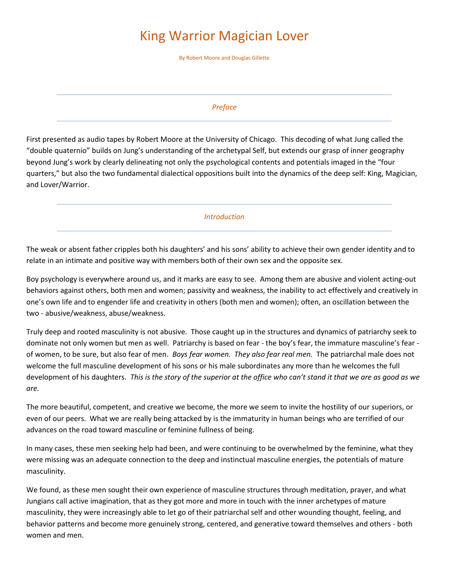# King Warrior Magician Lover

By Robert Moore and Douglas Gillette

#### *Preface*

First presented as audio tapes by Robert Moore at the University of Chicago. This decoding of what Jung called the "double quaternio" builds on Jung's understanding of the archetypal Self, but extends our grasp of inner geography beyond Jung's work by clearly delineating not only the psychological contents and potentials imaged in the "four quarters," but also the two fundamental dialectical oppositions built into the dynamics of the deep self: King, Magician, and Lover/Warrior.

#### *Introduction*

The weak or absent father cripples both his daughters' and his sons' ability to achieve their own gender identity and to relate in an intimate and positive way with members both of their own sex and the opposite sex.

Boy psychology is everywhere around us, and it marks are easy to see. Among them are abusive and violent acting-out behaviors against others, both men and women; passivity and weakness, the inability to act effectively and creatively in one's own life and to engender life and creativity in others (both men and women); often, an oscillation between the two - abusive/weakness, abuse/weakness.

Truly deep and rooted masculinity is not abusive. Those caught up in the structures and dynamics of patriarchy seek to dominate not only women but men as well. Patriarchy is based on fear - the boy's fear, the immature masculine's fear of women, to be sure, but also fear of men. *Boys fear women. They also fear real men.* The patriarchal male does not welcome the full masculine development of his sons or his male subordinates any more than he welcomes the full development of his daughters. *This is the story of the superior at the office who can't stand it that we are as good as we are.*

The more beautiful, competent, and creative we become, the more we seem to invite the hostility of our superiors, or even of our peers. What we are really being attacked by is the immaturity in human beings who are terrified of our advances on the road toward masculine or feminine fullness of being.

In many cases, these men seeking help had been, and were continuing to be overwhelmed by the feminine, what they were missing was an adequate connection to the deep and instinctual masculine energies, the potentials of mature masculinity.

We found, as these men sought their own experience of masculine structures through meditation, prayer, and what Jungians call active imagination, that as they got more and more in touch with the inner archetypes of mature masculinity, they were increasingly able to let go of their patriarchal self and other wounding thought, feeling, and behavior patterns and become more genuinely strong, centered, and generative toward themselves and others - both women and men.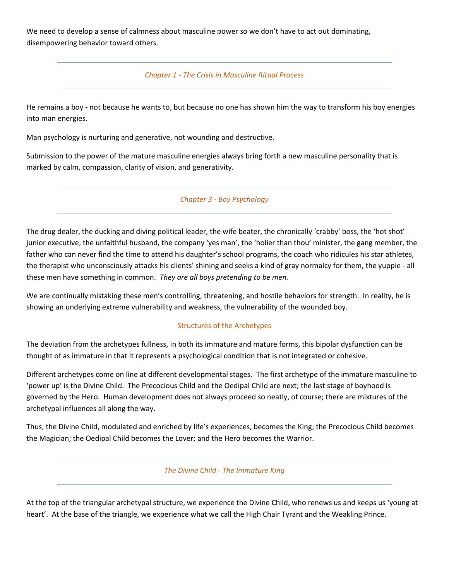We need to develop a sense of calmness about masculine power so we don't have to act out dominating, disempowering behavior toward others.

*Chapter 1 - The Crisis in Masculine Ritual Process*

He remains a boy - not because he wants to, but because no one has shown him the way to transform his boy energies into man energies.

Man psychology is nurturing and generative, not wounding and destructive.

Submission to the power of the mature masculine energies always bring forth a new masculine personality that is marked by calm, compassion, clarity of vision, and generativity.

*Chapter 3 - Boy Psychology*

The drug dealer, the ducking and diving political leader, the wife beater, the chronically 'crabby' boss, the 'hot shot' junior executive, the unfaithful husband, the company 'yes man', the 'holier than thou' minister, the gang member, the father who can never find the time to attend his daughter's school programs, the coach who ridicules his star athletes, the therapist who unconsciously attacks his clients' shining and seeks a kind of gray normalcy for them, the yuppie - all these men have something in common. *They are all boys pretending to be men.*

We are continually mistaking these men's controlling, threatening, and hostile behaviors for strength. In reality, he is showing an underlying extreme vulnerability and weakness, the vulnerability of the wounded boy.

#### Structures of the Archetypes

The deviation from the archetypes fullness, in both its immature and mature forms, this bipolar dysfunction can be thought of as immature in that it represents a psychological condition that is not integrated or cohesive.

Different archetypes come on line at different developmental stages. The first archetype of the immature masculine to 'power up' is the Divine Child. The Precocious Child and the Oedipal Child are next; the last stage of boyhood is governed by the Hero. Human development does not always proceed so neatly, of course; there are mixtures of the archetypal influences all along the way.

Thus, the Divine Child, modulated and enriched by life's experiences, becomes the King; the Precocious Child becomes the Magician; the Oedipal Child becomes the Lover; and the Hero becomes the Warrior.

*The Divine Child - The Immature King*

At the top of the triangular archetypal structure, we experience the Divine Child, who renews us and keeps us 'young at heart'. At the base of the triangle, we experience what we call the High Chair Tyrant and the Weakling Prince.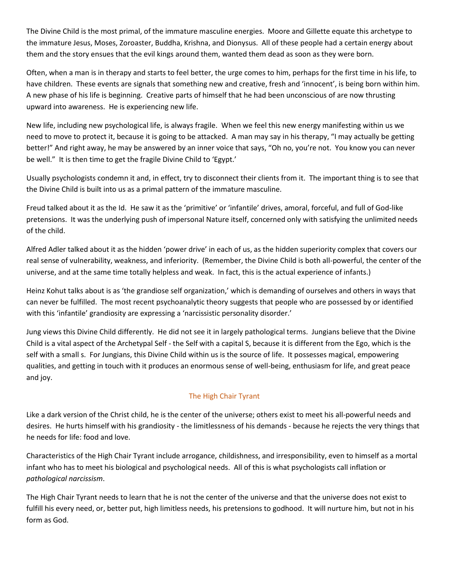The Divine Child is the most primal, of the immature masculine energies. Moore and Gillette equate this archetype to the immature Jesus, Moses, Zoroaster, Buddha, Krishna, and Dionysus. All of these people had a certain energy about them and the story ensues that the evil kings around them, wanted them dead as soon as they were born.

Often, when a man is in therapy and starts to feel better, the urge comes to him, perhaps for the first time in his life, to have children. These events are signals that something new and creative, fresh and 'innocent', is being born within him. A new phase of his life is beginning. Creative parts of himself that he had been unconscious of are now thrusting upward into awareness. He is experiencing new life.

New life, including new psychological life, is always fragile. When we feel this new energy manifesting within us we need to move to protect it, because it is going to be attacked. A man may say in his therapy, "I may actually be getting better!" And right away, he may be answered by an inner voice that says, "Oh no, you're not. You know you can never be well." It is then time to get the fragile Divine Child to 'Egypt.'

Usually psychologists condemn it and, in effect, try to disconnect their clients from it. The important thing is to see that the Divine Child is built into us as a primal pattern of the immature masculine.

Freud talked about it as the Id. He saw it as the 'primitive' or 'infantile' drives, amoral, forceful, and full of God-like pretensions. It was the underlying push of impersonal Nature itself, concerned only with satisfying the unlimited needs of the child.

Alfred Adler talked about it as the hidden 'power drive' in each of us, as the hidden superiority complex that covers our real sense of vulnerability, weakness, and inferiority. (Remember, the Divine Child is both all-powerful, the center of the universe, and at the same time totally helpless and weak. In fact, this is the actual experience of infants.)

Heinz Kohut talks about is as 'the grandiose self organization,' which is demanding of ourselves and others in ways that can never be fulfilled. The most recent psychoanalytic theory suggests that people who are possessed by or identified with this 'infantile' grandiosity are expressing a 'narcissistic personality disorder.'

Jung views this Divine Child differently. He did not see it in largely pathological terms. Jungians believe that the Divine Child is a vital aspect of the Archetypal Self - the Self with a capital S, because it is different from the Ego, which is the self with a small s. For Jungians, this Divine Child within us is the source of life. It possesses magical, empowering qualities, and getting in touch with it produces an enormous sense of well-being, enthusiasm for life, and great peace and joy.

# The High Chair Tyrant

Like a dark version of the Christ child, he is the center of the universe; others exist to meet his all-powerful needs and desires. He hurts himself with his grandiosity - the limitlessness of his demands - because he rejects the very things that he needs for life: food and love.

Characteristics of the High Chair Tyrant include arrogance, childishness, and irresponsibility, even to himself as a mortal infant who has to meet his biological and psychological needs. All of this is what psychologists call inflation or *pathological narcissism*.

The High Chair Tyrant needs to learn that he is not the center of the universe and that the universe does not exist to fulfill his every need, or, better put, high limitless needs, his pretensions to godhood. It will nurture him, but not in his form as God.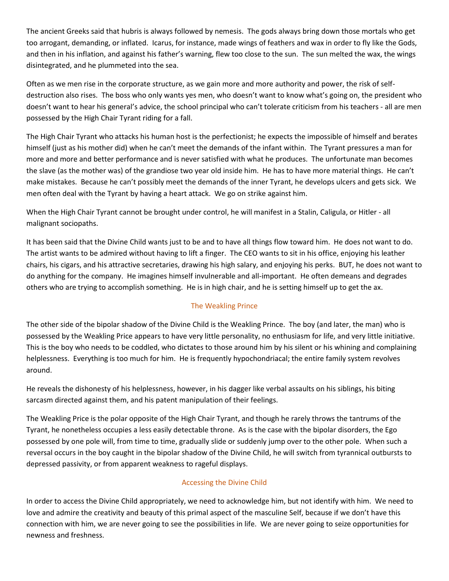The ancient Greeks said that hubris is always followed by nemesis. The gods always bring down those mortals who get too arrogant, demanding, or inflated. Icarus, for instance, made wings of feathers and wax in order to fly like the Gods, and then in his inflation, and against his father's warning, flew too close to the sun. The sun melted the wax, the wings disintegrated, and he plummeted into the sea.

Often as we men rise in the corporate structure, as we gain more and more authority and power, the risk of selfdestruction also rises. The boss who only wants yes men, who doesn't want to know what's going on, the president who doesn't want to hear his general's advice, the school principal who can't tolerate criticism from his teachers - all are men possessed by the High Chair Tyrant riding for a fall.

The High Chair Tyrant who attacks his human host is the perfectionist; he expects the impossible of himself and berates himself (just as his mother did) when he can't meet the demands of the infant within. The Tyrant pressures a man for more and more and better performance and is never satisfied with what he produces. The unfortunate man becomes the slave (as the mother was) of the grandiose two year old inside him. He has to have more material things. He can't make mistakes. Because he can't possibly meet the demands of the inner Tyrant, he develops ulcers and gets sick. We men often deal with the Tyrant by having a heart attack. We go on strike against him.

When the High Chair Tyrant cannot be brought under control, he will manifest in a Stalin, Caligula, or Hitler - all malignant sociopaths.

It has been said that the Divine Child wants just to be and to have all things flow toward him. He does not want to do. The artist wants to be admired without having to lift a finger. The CEO wants to sit in his office, enjoying his leather chairs, his cigars, and his attractive secretaries, drawing his high salary, and enjoying his perks. BUT, he does not want to do anything for the company. He imagines himself invulnerable and all-important. He often demeans and degrades others who are trying to accomplish something. He is in high chair, and he is setting himself up to get the ax.

# The Weakling Prince

The other side of the bipolar shadow of the Divine Child is the Weakling Prince. The boy (and later, the man) who is possessed by the Weakling Price appears to have very little personality, no enthusiasm for life, and very little initiative. This is the boy who needs to be coddled, who dictates to those around him by his silent or his whining and complaining helplessness. Everything is too much for him. He is frequently hypochondriacal; the entire family system revolves around.

He reveals the dishonesty of his helplessness, however, in his dagger like verbal assaults on his siblings, his biting sarcasm directed against them, and his patent manipulation of their feelings.

The Weakling Price is the polar opposite of the High Chair Tyrant, and though he rarely throws the tantrums of the Tyrant, he nonetheless occupies a less easily detectable throne. As is the case with the bipolar disorders, the Ego possessed by one pole will, from time to time, gradually slide or suddenly jump over to the other pole. When such a reversal occurs in the boy caught in the bipolar shadow of the Divine Child, he will switch from tyrannical outbursts to depressed passivity, or from apparent weakness to rageful displays.

# Accessing the Divine Child

In order to access the Divine Child appropriately, we need to acknowledge him, but not identify with him. We need to love and admire the creativity and beauty of this primal aspect of the masculine Self, because if we don't have this connection with him, we are never going to see the possibilities in life. We are never going to seize opportunities for newness and freshness.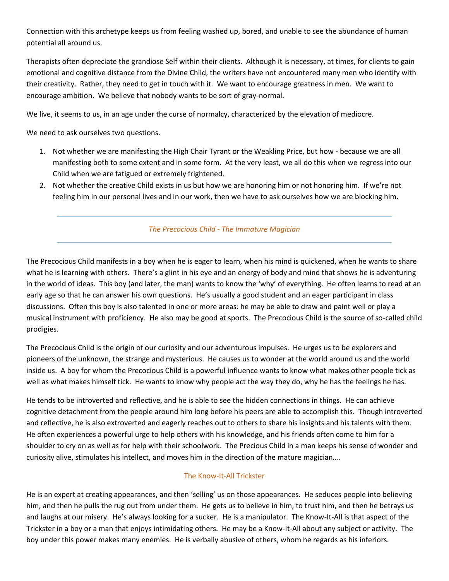Connection with this archetype keeps us from feeling washed up, bored, and unable to see the abundance of human potential all around us.

Therapists often depreciate the grandiose Self within their clients. Although it is necessary, at times, for clients to gain emotional and cognitive distance from the Divine Child, the writers have not encountered many men who identify with their creativity. Rather, they need to get in touch with it. We want to encourage greatness in men. We want to encourage ambition. We believe that nobody wants to be sort of gray-normal.

We live, it seems to us, in an age under the curse of normalcy, characterized by the elevation of mediocre.

We need to ask ourselves two questions.

- 1. Not whether we are manifesting the High Chair Tyrant or the Weakling Price, but how because we are all manifesting both to some extent and in some form. At the very least, we all do this when we regress into our Child when we are fatigued or extremely frightened.
- 2. Not whether the creative Child exists in us but how we are honoring him or not honoring him. If we're not feeling him in our personal lives and in our work, then we have to ask ourselves how we are blocking him.

*The Precocious Child - The Immature Magician*

The Precocious Child manifests in a boy when he is eager to learn, when his mind is quickened, when he wants to share what he is learning with others. There's a glint in his eye and an energy of body and mind that shows he is adventuring in the world of ideas. This boy (and later, the man) wants to know the 'why' of everything. He often learns to read at an early age so that he can answer his own questions. He's usually a good student and an eager participant in class discussions. Often this boy is also talented in one or more areas: he may be able to draw and paint well or play a musical instrument with proficiency. He also may be good at sports. The Precocious Child is the source of so-called child prodigies.

The Precocious Child is the origin of our curiosity and our adventurous impulses. He urges us to be explorers and pioneers of the unknown, the strange and mysterious. He causes us to wonder at the world around us and the world inside us. A boy for whom the Precocious Child is a powerful influence wants to know what makes other people tick as well as what makes himself tick. He wants to know why people act the way they do, why he has the feelings he has.

He tends to be introverted and reflective, and he is able to see the hidden connections in things. He can achieve cognitive detachment from the people around him long before his peers are able to accomplish this. Though introverted and reflective, he is also extroverted and eagerly reaches out to others to share his insights and his talents with them. He often experiences a powerful urge to help others with his knowledge, and his friends often come to him for a shoulder to cry on as well as for help with their schoolwork. The Precious Child in a man keeps his sense of wonder and curiosity alive, stimulates his intellect, and moves him in the direction of the mature magician….

# The Know-It-All Trickster

He is an expert at creating appearances, and then 'selling' us on those appearances. He seduces people into believing him, and then he pulls the rug out from under them. He gets us to believe in him, to trust him, and then he betrays us and laughs at our misery. He's always looking for a sucker. He is a manipulator. The Know-It-All is that aspect of the Trickster in a boy or a man that enjoys intimidating others. He may be a Know-It-All about any subject or activity. The boy under this power makes many enemies. He is verbally abusive of others, whom he regards as his inferiors.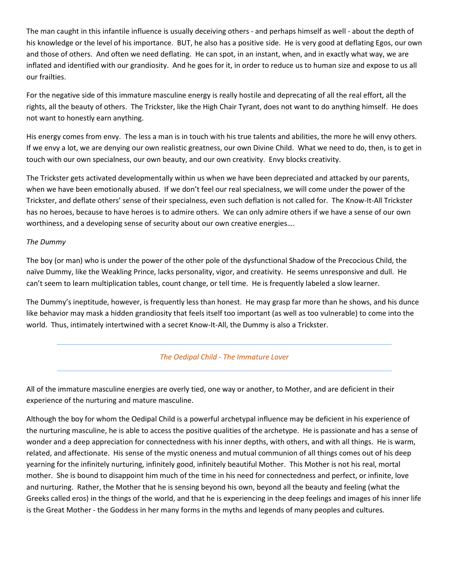The man caught in this infantile influence is usually deceiving others - and perhaps himself as well - about the depth of his knowledge or the level of his importance. BUT, he also has a positive side. He is very good at deflating Egos, our own and those of others. And often we need deflating. He can spot, in an instant, when, and in exactly what way, we are inflated and identified with our grandiosity. And he goes for it, in order to reduce us to human size and expose to us all our frailties.

For the negative side of this immature masculine energy is really hostile and deprecating of all the real effort, all the rights, all the beauty of others. The Trickster, like the High Chair Tyrant, does not want to do anything himself. He does not want to honestly earn anything.

His energy comes from envy. The less a man is in touch with his true talents and abilities, the more he will envy others. If we envy a lot, we are denying our own realistic greatness, our own Divine Child. What we need to do, then, is to get in touch with our own specialness, our own beauty, and our own creativity. Envy blocks creativity.

The Trickster gets activated developmentally within us when we have been depreciated and attacked by our parents, when we have been emotionally abused. If we don't feel our real specialness, we will come under the power of the Trickster, and deflate others' sense of their specialness, even such deflation is not called for. The Know-It-All Trickster has no heroes, because to have heroes is to admire others. We can only admire others if we have a sense of our own worthiness, and a developing sense of security about our own creative energies….

# *The Dummy*

The boy (or man) who is under the power of the other pole of the dysfunctional Shadow of the Precocious Child, the naïve Dummy, like the Weakling Prince, lacks personality, vigor, and creativity. He seems unresponsive and dull. He can't seem to learn multiplication tables, count change, or tell time. He is frequently labeled a slow learner.

The Dummy's ineptitude, however, is frequently less than honest. He may grasp far more than he shows, and his dunce like behavior may mask a hidden grandiosity that feels itself too important (as well as too vulnerable) to come into the world. Thus, intimately intertwined with a secret Know-It-All, the Dummy is also a Trickster.

# *The Oedipal Child - The Immature Lover*

All of the immature masculine energies are overly tied, one way or another, to Mother, and are deficient in their experience of the nurturing and mature masculine.

Although the boy for whom the Oedipal Child is a powerful archetypal influence may be deficient in his experience of the nurturing masculine, he is able to access the positive qualities of the archetype. He is passionate and has a sense of wonder and a deep appreciation for connectedness with his inner depths, with others, and with all things. He is warm, related, and affectionate. His sense of the mystic oneness and mutual communion of all things comes out of his deep yearning for the infinitely nurturing, infinitely good, infinitely beautiful Mother. This Mother is not his real, mortal mother. She is bound to disappoint him much of the time in his need for connectedness and perfect, or infinite, love and nurturing. Rather, the Mother that he is sensing beyond his own, beyond all the beauty and feeling (what the Greeks called eros) in the things of the world, and that he is experiencing in the deep feelings and images of his inner life is the Great Mother - the Goddess in her many forms in the myths and legends of many peoples and cultures.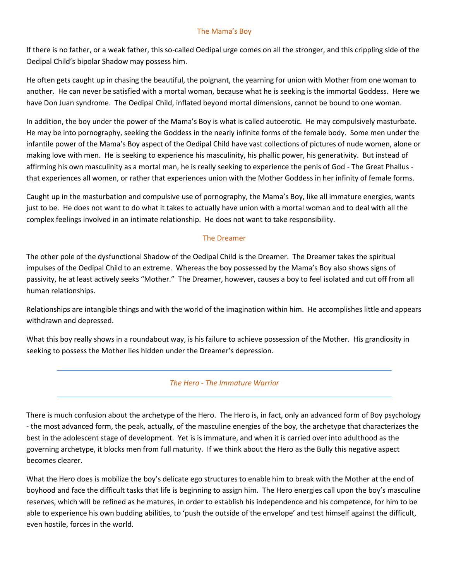#### The Mama's Boy

If there is no father, or a weak father, this so-called Oedipal urge comes on all the stronger, and this crippling side of the Oedipal Child's bipolar Shadow may possess him.

He often gets caught up in chasing the beautiful, the poignant, the yearning for union with Mother from one woman to another. He can never be satisfied with a mortal woman, because what he is seeking is the immortal Goddess. Here we have Don Juan syndrome. The Oedipal Child, inflated beyond mortal dimensions, cannot be bound to one woman.

In addition, the boy under the power of the Mama's Boy is what is called autoerotic. He may compulsively masturbate. He may be into pornography, seeking the Goddess in the nearly infinite forms of the female body. Some men under the infantile power of the Mama's Boy aspect of the Oedipal Child have vast collections of pictures of nude women, alone or making love with men. He is seeking to experience his masculinity, his phallic power, his generativity. But instead of affirming his own masculinity as a mortal man, he is really seeking to experience the penis of God - The Great Phallus that experiences all women, or rather that experiences union with the Mother Goddess in her infinity of female forms.

Caught up in the masturbation and compulsive use of pornography, the Mama's Boy, like all immature energies, wants just to be. He does not want to do what it takes to actually have union with a mortal woman and to deal with all the complex feelings involved in an intimate relationship. He does not want to take responsibility.

#### The Dreamer

The other pole of the dysfunctional Shadow of the Oedipal Child is the Dreamer. The Dreamer takes the spiritual impulses of the Oedipal Child to an extreme. Whereas the boy possessed by the Mama's Boy also shows signs of passivity, he at least actively seeks "Mother." The Dreamer, however, causes a boy to feel isolated and cut off from all human relationships.

Relationships are intangible things and with the world of the imagination within him. He accomplishes little and appears withdrawn and depressed.

What this boy really shows in a roundabout way, is his failure to achieve possession of the Mother. His grandiosity in seeking to possess the Mother lies hidden under the Dreamer's depression.

#### *The Hero - The Immature Warrior*

There is much confusion about the archetype of the Hero. The Hero is, in fact, only an advanced form of Boy psychology - the most advanced form, the peak, actually, of the masculine energies of the boy, the archetype that characterizes the best in the adolescent stage of development. Yet is is immature, and when it is carried over into adulthood as the governing archetype, it blocks men from full maturity. If we think about the Hero as the Bully this negative aspect becomes clearer.

What the Hero does is mobilize the boy's delicate ego structures to enable him to break with the Mother at the end of boyhood and face the difficult tasks that life is beginning to assign him. The Hero energies call upon the boy's masculine reserves, which will be refined as he matures, in order to establish his independence and his competence, for him to be able to experience his own budding abilities, to 'push the outside of the envelope' and test himself against the difficult, even hostile, forces in the world.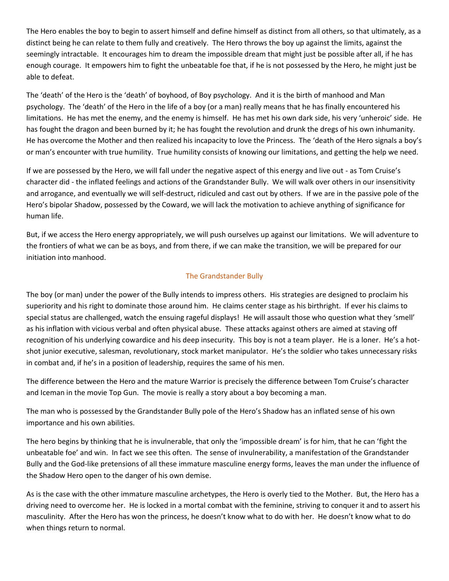The Hero enables the boy to begin to assert himself and define himself as distinct from all others, so that ultimately, as a distinct being he can relate to them fully and creatively. The Hero throws the boy up against the limits, against the seemingly intractable. It encourages him to dream the impossible dream that might just be possible after all, if he has enough courage. It empowers him to fight the unbeatable foe that, if he is not possessed by the Hero, he might just be able to defeat.

The 'death' of the Hero is the 'death' of boyhood, of Boy psychology. And it is the birth of manhood and Man psychology. The 'death' of the Hero in the life of a boy (or a man) really means that he has finally encountered his limitations. He has met the enemy, and the enemy is himself. He has met his own dark side, his very 'unheroic' side. He has fought the dragon and been burned by it; he has fought the revolution and drunk the dregs of his own inhumanity. He has overcome the Mother and then realized his incapacity to love the Princess. The 'death of the Hero signals a boy's or man's encounter with true humility. True humility consists of knowing our limitations, and getting the help we need.

If we are possessed by the Hero, we will fall under the negative aspect of this energy and live out - as Tom Cruise's character did - the inflated feelings and actions of the Grandstander Bully. We will walk over others in our insensitivity and arrogance, and eventually we will self-destruct, ridiculed and cast out by others. If we are in the passive pole of the Hero's bipolar Shadow, possessed by the Coward, we will lack the motivation to achieve anything of significance for human life.

But, if we access the Hero energy appropriately, we will push ourselves up against our limitations. We will adventure to the frontiers of what we can be as boys, and from there, if we can make the transition, we will be prepared for our initiation into manhood.

#### The Grandstander Bully

The boy (or man) under the power of the Bully intends to impress others. His strategies are designed to proclaim his superiority and his right to dominate those around him. He claims center stage as his birthright. If ever his claims to special status are challenged, watch the ensuing rageful displays! He will assault those who question what they 'smell' as his inflation with vicious verbal and often physical abuse. These attacks against others are aimed at staving off recognition of his underlying cowardice and his deep insecurity. This boy is not a team player. He is a loner. He's a hotshot junior executive, salesman, revolutionary, stock market manipulator. He's the soldier who takes unnecessary risks in combat and, if he's in a position of leadership, requires the same of his men.

The difference between the Hero and the mature Warrior is precisely the difference between Tom Cruise's character and Iceman in the movie Top Gun. The movie is really a story about a boy becoming a man.

The man who is possessed by the Grandstander Bully pole of the Hero's Shadow has an inflated sense of his own importance and his own abilities.

The hero begins by thinking that he is invulnerable, that only the 'impossible dream' is for him, that he can 'fight the unbeatable foe' and win. In fact we see this often. The sense of invulnerability, a manifestation of the Grandstander Bully and the God-like pretensions of all these immature masculine energy forms, leaves the man under the influence of the Shadow Hero open to the danger of his own demise.

As is the case with the other immature masculine archetypes, the Hero is overly tied to the Mother. But, the Hero has a driving need to overcome her. He is locked in a mortal combat with the feminine, striving to conquer it and to assert his masculinity. After the Hero has won the princess, he doesn't know what to do with her. He doesn't know what to do when things return to normal.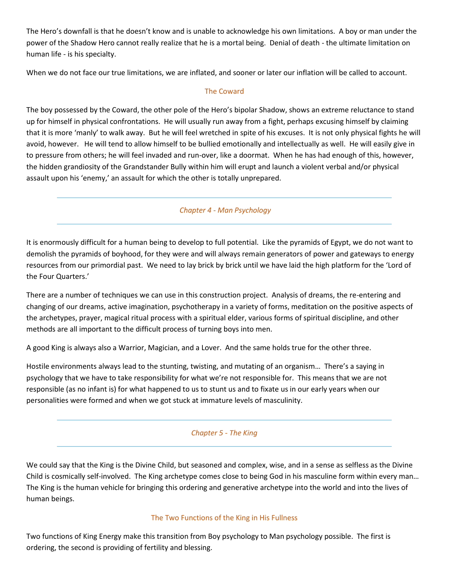The Hero's downfall is that he doesn't know and is unable to acknowledge his own limitations. A boy or man under the power of the Shadow Hero cannot really realize that he is a mortal being. Denial of death - the ultimate limitation on human life - is his specialty.

When we do not face our true limitations, we are inflated, and sooner or later our inflation will be called to account.

#### The Coward

The boy possessed by the Coward, the other pole of the Hero's bipolar Shadow, shows an extreme reluctance to stand up for himself in physical confrontations. He will usually run away from a fight, perhaps excusing himself by claiming that it is more 'manly' to walk away. But he will feel wretched in spite of his excuses. It is not only physical fights he will avoid, however. He will tend to allow himself to be bullied emotionally and intellectually as well. He will easily give in to pressure from others; he will feel invaded and run-over, like a doormat. When he has had enough of this, however, the hidden grandiosity of the Grandstander Bully within him will erupt and launch a violent verbal and/or physical assault upon his 'enemy,' an assault for which the other is totally unprepared.

*Chapter 4 - Man Psychology*

It is enormously difficult for a human being to develop to full potential. Like the pyramids of Egypt, we do not want to demolish the pyramids of boyhood, for they were and will always remain generators of power and gateways to energy resources from our primordial past. We need to lay brick by brick until we have laid the high platform for the 'Lord of the Four Quarters.'

There are a number of techniques we can use in this construction project. Analysis of dreams, the re-entering and changing of our dreams, active imagination, psychotherapy in a variety of forms, meditation on the positive aspects of the archetypes, prayer, magical ritual process with a spiritual elder, various forms of spiritual discipline, and other methods are all important to the difficult process of turning boys into men.

A good King is always also a Warrior, Magician, and a Lover. And the same holds true for the other three.

Hostile environments always lead to the stunting, twisting, and mutating of an organism… There's a saying in psychology that we have to take responsibility for what we're not responsible for. This means that we are not responsible (as no infant is) for what happened to us to stunt us and to fixate us in our early years when our personalities were formed and when we got stuck at immature levels of masculinity.

#### *Chapter 5 - The King*

We could say that the King is the Divine Child, but seasoned and complex, wise, and in a sense as selfless as the Divine Child is cosmically self-involved. The King archetype comes close to being God in his masculine form within every man… The King is the human vehicle for bringing this ordering and generative archetype into the world and into the lives of human beings.

#### The Two Functions of the King in His Fullness

Two functions of King Energy make this transition from Boy psychology to Man psychology possible. The first is ordering, the second is providing of fertility and blessing.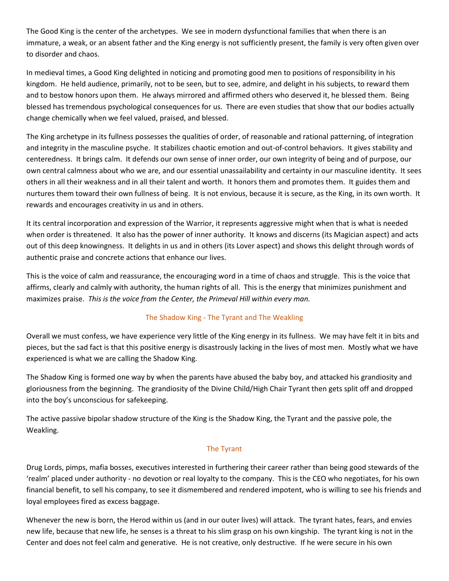The Good King is the center of the archetypes. We see in modern dysfunctional families that when there is an immature, a weak, or an absent father and the King energy is not sufficiently present, the family is very often given over to disorder and chaos.

In medieval times, a Good King delighted in noticing and promoting good men to positions of responsibility in his kingdom. He held audience, primarily, not to be seen, but to see, admire, and delight in his subjects, to reward them and to bestow honors upon them. He always mirrored and affirmed others who deserved it, he blessed them. Being blessed has tremendous psychological consequences for us. There are even studies that show that our bodies actually change chemically when we feel valued, praised, and blessed.

The King archetype in its fullness possesses the qualities of order, of reasonable and rational patterning, of integration and integrity in the masculine psyche. It stabilizes chaotic emotion and out-of-control behaviors. It gives stability and centeredness. It brings calm. It defends our own sense of inner order, our own integrity of being and of purpose, our own central calmness about who we are, and our essential unassailability and certainty in our masculine identity. It sees others in all their weakness and in all their talent and worth. It honors them and promotes them. It guides them and nurtures them toward their own fullness of being. It is not envious, because it is secure, as the King, in its own worth. It rewards and encourages creativity in us and in others.

It its central incorporation and expression of the Warrior, it represents aggressive might when that is what is needed when order is threatened. It also has the power of inner authority. It knows and discerns (its Magician aspect) and acts out of this deep knowingness. It delights in us and in others (its Lover aspect) and shows this delight through words of authentic praise and concrete actions that enhance our lives.

This is the voice of calm and reassurance, the encouraging word in a time of chaos and struggle. This is the voice that affirms, clearly and calmly with authority, the human rights of all. This is the energy that minimizes punishment and maximizes praise. *This is the voice from the Center, the Primeval Hill within every man.*

# The Shadow King - The Tyrant and The Weakling

Overall we must confess, we have experience very little of the King energy in its fullness. We may have felt it in bits and pieces, but the sad fact is that this positive energy is disastrously lacking in the lives of most men. Mostly what we have experienced is what we are calling the Shadow King.

The Shadow King is formed one way by when the parents have abused the baby boy, and attacked his grandiosity and gloriousness from the beginning. The grandiosity of the Divine Child/High Chair Tyrant then gets split off and dropped into the boy's unconscious for safekeeping.

The active passive bipolar shadow structure of the King is the Shadow King, the Tyrant and the passive pole, the Weakling.

#### The Tyrant

Drug Lords, pimps, mafia bosses, executives interested in furthering their career rather than being good stewards of the 'realm' placed under authority - no devotion or real loyalty to the company. This is the CEO who negotiates, for his own financial benefit, to sell his company, to see it dismembered and rendered impotent, who is willing to see his friends and loyal employees fired as excess baggage.

Whenever the new is born, the Herod within us (and in our outer lives) will attack. The tyrant hates, fears, and envies new life, because that new life, he senses is a threat to his slim grasp on his own kingship. The tyrant king is not in the Center and does not feel calm and generative. He is not creative, only destructive. If he were secure in his own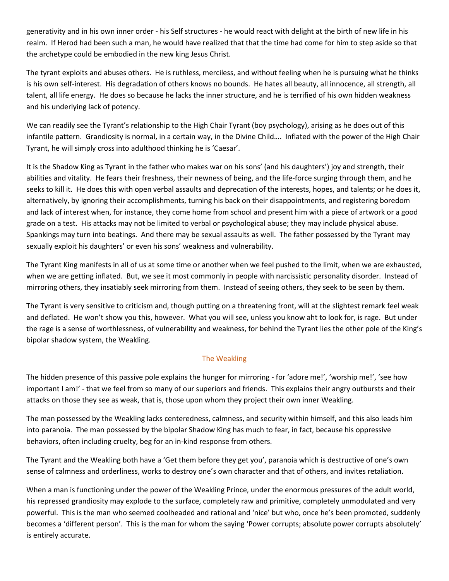generativity and in his own inner order - his Self structures - he would react with delight at the birth of new life in his realm. If Herod had been such a man, he would have realized that that the time had come for him to step aside so that the archetype could be embodied in the new king Jesus Christ.

The tyrant exploits and abuses others. He is ruthless, merciless, and without feeling when he is pursuing what he thinks is his own self-interest. His degradation of others knows no bounds. He hates all beauty, all innocence, all strength, all talent, all life energy. He does so because he lacks the inner structure, and he is terrified of his own hidden weakness and his underlying lack of potency.

We can readily see the Tyrant's relationship to the High Chair Tyrant (boy psychology), arising as he does out of this infantile pattern. Grandiosity is normal, in a certain way, in the Divine Child…. Inflated with the power of the High Chair Tyrant, he will simply cross into adulthood thinking he is 'Caesar'.

It is the Shadow King as Tyrant in the father who makes war on his sons' (and his daughters') joy and strength, their abilities and vitality. He fears their freshness, their newness of being, and the life-force surging through them, and he seeks to kill it. He does this with open verbal assaults and deprecation of the interests, hopes, and talents; or he does it, alternatively, by ignoring their accomplishments, turning his back on their disappointments, and registering boredom and lack of interest when, for instance, they come home from school and present him with a piece of artwork or a good grade on a test. His attacks may not be limited to verbal or psychological abuse; they may include physical abuse. Spankings may turn into beatings. And there may be sexual assaults as well. The father possessed by the Tyrant may sexually exploit his daughters' or even his sons' weakness and vulnerability.

The Tyrant King manifests in all of us at some time or another when we feel pushed to the limit, when we are exhausted, when we are getting inflated. But, we see it most commonly in people with narcissistic personality disorder. Instead of mirroring others, they insatiably seek mirroring from them. Instead of seeing others, they seek to be seen by them.

The Tyrant is very sensitive to criticism and, though putting on a threatening front, will at the slightest remark feel weak and deflated. He won't show you this, however. What you will see, unless you know aht to look for, is rage. But under the rage is a sense of worthlessness, of vulnerability and weakness, for behind the Tyrant lies the other pole of the King's bipolar shadow system, the Weakling.

# The Weakling

The hidden presence of this passive pole explains the hunger for mirroring - for 'adore me!', 'worship me!', 'see how important I am!' - that we feel from so many of our superiors and friends. This explains their angry outbursts and their attacks on those they see as weak, that is, those upon whom they project their own inner Weakling.

The man possessed by the Weakling lacks centeredness, calmness, and security within himself, and this also leads him into paranoia. The man possessed by the bipolar Shadow King has much to fear, in fact, because his oppressive behaviors, often including cruelty, beg for an in-kind response from others.

The Tyrant and the Weakling both have a 'Get them before they get you', paranoia which is destructive of one's own sense of calmness and orderliness, works to destroy one's own character and that of others, and invites retaliation.

When a man is functioning under the power of the Weakling Prince, under the enormous pressures of the adult world, his repressed grandiosity may explode to the surface, completely raw and primitive, completely unmodulated and very powerful. This is the man who seemed coolheaded and rational and 'nice' but who, once he's been promoted, suddenly becomes a 'different person'. This is the man for whom the saying 'Power corrupts; absolute power corrupts absolutely' is entirely accurate.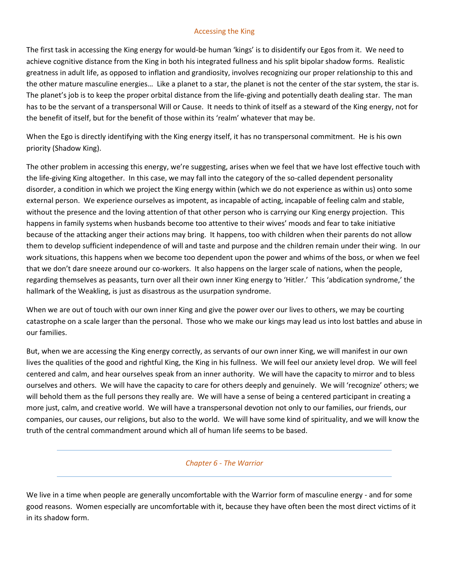### Accessing the King

The first task in accessing the King energy for would-be human 'kings' is to disidentify our Egos from it. We need to achieve cognitive distance from the King in both his integrated fullness and his split bipolar shadow forms. Realistic greatness in adult life, as opposed to inflation and grandiosity, involves recognizing our proper relationship to this and the other mature masculine energies… Like a planet to a star, the planet is not the center of the star system, the star is. The planet's job is to keep the proper orbital distance from the life-giving and potentially death dealing star. The man has to be the servant of a transpersonal Will or Cause. It needs to think of itself as a steward of the King energy, not for the benefit of itself, but for the benefit of those within its 'realm' whatever that may be.

When the Ego is directly identifying with the King energy itself, it has no transpersonal commitment. He is his own priority (Shadow King).

The other problem in accessing this energy, we're suggesting, arises when we feel that we have lost effective touch with the life-giving King altogether. In this case, we may fall into the category of the so-called dependent personality disorder, a condition in which we project the King energy within (which we do not experience as within us) onto some external person. We experience ourselves as impotent, as incapable of acting, incapable of feeling calm and stable, without the presence and the loving attention of that other person who is carrying our King energy projection. This happens in family systems when husbands become too attentive to their wives' moods and fear to take initiative because of the attacking anger their actions may bring. It happens, too with children when their parents do not allow them to develop sufficient independence of will and taste and purpose and the children remain under their wing. In our work situations, this happens when we become too dependent upon the power and whims of the boss, or when we feel that we don't dare sneeze around our co-workers. It also happens on the larger scale of nations, when the people, regarding themselves as peasants, turn over all their own inner King energy to 'Hitler.' This 'abdication syndrome,' the hallmark of the Weakling, is just as disastrous as the usurpation syndrome.

When we are out of touch with our own inner King and give the power over our lives to others, we may be courting catastrophe on a scale larger than the personal. Those who we make our kings may lead us into lost battles and abuse in our families.

But, when we are accessing the King energy correctly, as servants of our own inner King, we will manifest in our own lives the qualities of the good and rightful King, the King in his fullness. We will feel our anxiety level drop. We will feel centered and calm, and hear ourselves speak from an inner authority. We will have the capacity to mirror and to bless ourselves and others. We will have the capacity to care for others deeply and genuinely. We will 'recognize' others; we will behold them as the full persons they really are. We will have a sense of being a centered participant in creating a more just, calm, and creative world. We will have a transpersonal devotion not only to our families, our friends, our companies, our causes, our religions, but also to the world. We will have some kind of spirituality, and we will know the truth of the central commandment around which all of human life seems to be based.

*Chapter 6 - The Warrior*

We live in a time when people are generally uncomfortable with the Warrior form of masculine energy - and for some good reasons. Women especially are uncomfortable with it, because they have often been the most direct victims of it in its shadow form.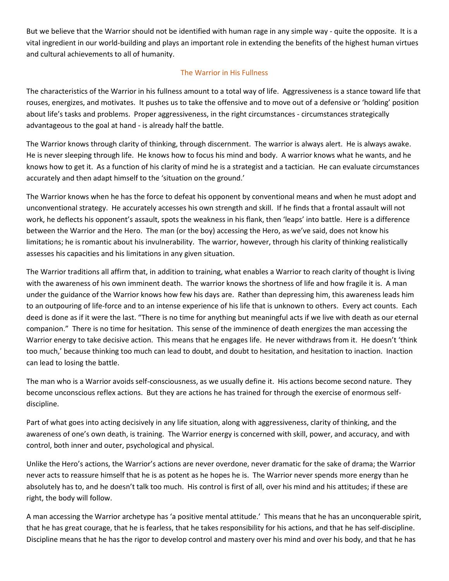But we believe that the Warrior should not be identified with human rage in any simple way - quite the opposite. It is a vital ingredient in our world-building and plays an important role in extending the benefits of the highest human virtues and cultural achievements to all of humanity.

## The Warrior in His Fullness

The characteristics of the Warrior in his fullness amount to a total way of life. Aggressiveness is a stance toward life that rouses, energizes, and motivates. It pushes us to take the offensive and to move out of a defensive or 'holding' position about life's tasks and problems. Proper aggressiveness, in the right circumstances - circumstances strategically advantageous to the goal at hand - is already half the battle.

The Warrior knows through clarity of thinking, through discernment. The warrior is always alert. He is always awake. He is never sleeping through life. He knows how to focus his mind and body. A warrior knows what he wants, and he knows how to get it. As a function of his clarity of mind he is a strategist and a tactician. He can evaluate circumstances accurately and then adapt himself to the 'situation on the ground.'

The Warrior knows when he has the force to defeat his opponent by conventional means and when he must adopt and unconventional strategy. He accurately accesses his own strength and skill. If he finds that a frontal assault will not work, he deflects his opponent's assault, spots the weakness in his flank, then 'leaps' into battle. Here is a difference between the Warrior and the Hero. The man (or the boy) accessing the Hero, as we've said, does not know his limitations; he is romantic about his invulnerability. The warrior, however, through his clarity of thinking realistically assesses his capacities and his limitations in any given situation.

The Warrior traditions all affirm that, in addition to training, what enables a Warrior to reach clarity of thought is living with the awareness of his own imminent death. The warrior knows the shortness of life and how fragile it is. A man under the guidance of the Warrior knows how few his days are. Rather than depressing him, this awareness leads him to an outpouring of life-force and to an intense experience of his life that is unknown to others. Every act counts. Each deed is done as if it were the last. "There is no time for anything but meaningful acts if we live with death as our eternal companion." There is no time for hesitation. This sense of the imminence of death energizes the man accessing the Warrior energy to take decisive action. This means that he engages life. He never withdraws from it. He doesn't 'think too much,' because thinking too much can lead to doubt, and doubt to hesitation, and hesitation to inaction. Inaction can lead to losing the battle.

The man who is a Warrior avoids self-consciousness, as we usually define it. His actions become second nature. They become unconscious reflex actions. But they are actions he has trained for through the exercise of enormous selfdiscipline.

Part of what goes into acting decisively in any life situation, along with aggressiveness, clarity of thinking, and the awareness of one's own death, is training. The Warrior energy is concerned with skill, power, and accuracy, and with control, both inner and outer, psychological and physical.

Unlike the Hero's actions, the Warrior's actions are never overdone, never dramatic for the sake of drama; the Warrior never acts to reassure himself that he is as potent as he hopes he is. The Warrior never spends more energy than he absolutely has to, and he doesn't talk too much. His control is first of all, over his mind and his attitudes; if these are right, the body will follow.

A man accessing the Warrior archetype has 'a positive mental attitude.' This means that he has an unconquerable spirit, that he has great courage, that he is fearless, that he takes responsibility for his actions, and that he has self-discipline. Discipline means that he has the rigor to develop control and mastery over his mind and over his body, and that he has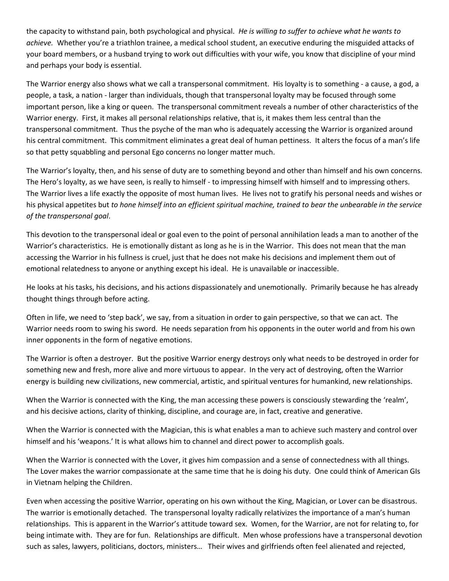the capacity to withstand pain, both psychological and physical. *He is willing to suffer to achieve what he wants to achieve.* Whether you're a triathlon trainee, a medical school student, an executive enduring the misguided attacks of your board members, or a husband trying to work out difficulties with your wife, you know that discipline of your mind and perhaps your body is essential.

The Warrior energy also shows what we call a transpersonal commitment. His loyalty is to something - a cause, a god, a people, a task, a nation - larger than individuals, though that transpersonal loyalty may be focused through some important person, like a king or queen. The transpersonal commitment reveals a number of other characteristics of the Warrior energy. First, it makes all personal relationships relative, that is, it makes them less central than the transpersonal commitment. Thus the psyche of the man who is adequately accessing the Warrior is organized around his central commitment. This commitment eliminates a great deal of human pettiness. It alters the focus of a man's life so that petty squabbling and personal Ego concerns no longer matter much.

The Warrior's loyalty, then, and his sense of duty are to something beyond and other than himself and his own concerns. The Hero's loyalty, as we have seen, is really to himself - to impressing himself with himself and to impressing others. The Warrior lives a life exactly the opposite of most human lives. He lives not to gratify his personal needs and wishes or his physical appetites but *to hone himself into an efficient spiritual machine, trained to bear the unbearable in the service of the transpersonal goal*.

This devotion to the transpersonal ideal or goal even to the point of personal annihilation leads a man to another of the Warrior's characteristics. He is emotionally distant as long as he is in the Warrior. This does not mean that the man accessing the Warrior in his fullness is cruel, just that he does not make his decisions and implement them out of emotional relatedness to anyone or anything except his ideal. He is unavailable or inaccessible.

He looks at his tasks, his decisions, and his actions dispassionately and unemotionally. Primarily because he has already thought things through before acting.

Often in life, we need to 'step back', we say, from a situation in order to gain perspective, so that we can act. The Warrior needs room to swing his sword. He needs separation from his opponents in the outer world and from his own inner opponents in the form of negative emotions.

The Warrior is often a destroyer. But the positive Warrior energy destroys only what needs to be destroyed in order for something new and fresh, more alive and more virtuous to appear. In the very act of destroying, often the Warrior energy is building new civilizations, new commercial, artistic, and spiritual ventures for humankind, new relationships.

When the Warrior is connected with the King, the man accessing these powers is consciously stewarding the 'realm', and his decisive actions, clarity of thinking, discipline, and courage are, in fact, creative and generative.

When the Warrior is connected with the Magician, this is what enables a man to achieve such mastery and control over himself and his 'weapons.' It is what allows him to channel and direct power to accomplish goals.

When the Warrior is connected with the Lover, it gives him compassion and a sense of connectedness with all things. The Lover makes the warrior compassionate at the same time that he is doing his duty. One could think of American GIs in Vietnam helping the Children.

Even when accessing the positive Warrior, operating on his own without the King, Magician, or Lover can be disastrous. The warrior is emotionally detached. The transpersonal loyalty radically relativizes the importance of a man's human relationships. This is apparent in the Warrior's attitude toward sex. Women, for the Warrior, are not for relating to, for being intimate with. They are for fun. Relationships are difficult. Men whose professions have a transpersonal devotion such as sales, lawyers, politicians, doctors, ministers… Their wives and girlfriends often feel alienated and rejected,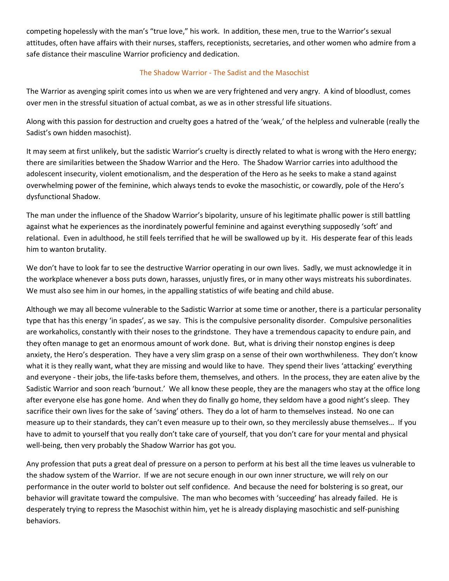competing hopelessly with the man's "true love," his work. In addition, these men, true to the Warrior's sexual attitudes, often have affairs with their nurses, staffers, receptionists, secretaries, and other women who admire from a safe distance their masculine Warrior proficiency and dedication.

# The Shadow Warrior - The Sadist and the Masochist

The Warrior as avenging spirit comes into us when we are very frightened and very angry. A kind of bloodlust, comes over men in the stressful situation of actual combat, as we as in other stressful life situations.

Along with this passion for destruction and cruelty goes a hatred of the 'weak,' of the helpless and vulnerable (really the Sadist's own hidden masochist).

It may seem at first unlikely, but the sadistic Warrior's cruelty is directly related to what is wrong with the Hero energy; there are similarities between the Shadow Warrior and the Hero. The Shadow Warrior carries into adulthood the adolescent insecurity, violent emotionalism, and the desperation of the Hero as he seeks to make a stand against overwhelming power of the feminine, which always tends to evoke the masochistic, or cowardly, pole of the Hero's dysfunctional Shadow.

The man under the influence of the Shadow Warrior's bipolarity, unsure of his legitimate phallic power is still battling against what he experiences as the inordinately powerful feminine and against everything supposedly 'soft' and relational. Even in adulthood, he still feels terrified that he will be swallowed up by it. His desperate fear of this leads him to wanton brutality.

We don't have to look far to see the destructive Warrior operating in our own lives. Sadly, we must acknowledge it in the workplace whenever a boss puts down, harasses, unjustly fires, or in many other ways mistreats his subordinates. We must also see him in our homes, in the appalling statistics of wife beating and child abuse.

Although we may all become vulnerable to the Sadistic Warrior at some time or another, there is a particular personality type that has this energy 'in spades', as we say. This is the compulsive personality disorder. Compulsive personalities are workaholics, constantly with their noses to the grindstone. They have a tremendous capacity to endure pain, and they often manage to get an enormous amount of work done. But, what is driving their nonstop engines is deep anxiety, the Hero's desperation. They have a very slim grasp on a sense of their own worthwhileness. They don't know what it is they really want, what they are missing and would like to have. They spend their lives 'attacking' everything and everyone - their jobs, the life-tasks before them, themselves, and others. In the process, they are eaten alive by the Sadistic Warrior and soon reach 'burnout.' We all know these people, they are the managers who stay at the office long after everyone else has gone home. And when they do finally go home, they seldom have a good night's sleep. They sacrifice their own lives for the sake of 'saving' others. They do a lot of harm to themselves instead. No one can measure up to their standards, they can't even measure up to their own, so they mercilessly abuse themselves… If you have to admit to yourself that you really don't take care of yourself, that you don't care for your mental and physical well-being, then very probably the Shadow Warrior has got you.

Any profession that puts a great deal of pressure on a person to perform at his best all the time leaves us vulnerable to the shadow system of the Warrior. If we are not secure enough in our own inner structure, we will rely on our performance in the outer world to bolster out self confidence. And because the need for bolstering is so great, our behavior will gravitate toward the compulsive. The man who becomes with 'succeeding' has already failed. He is desperately trying to repress the Masochist within him, yet he is already displaying masochistic and self-punishing behaviors.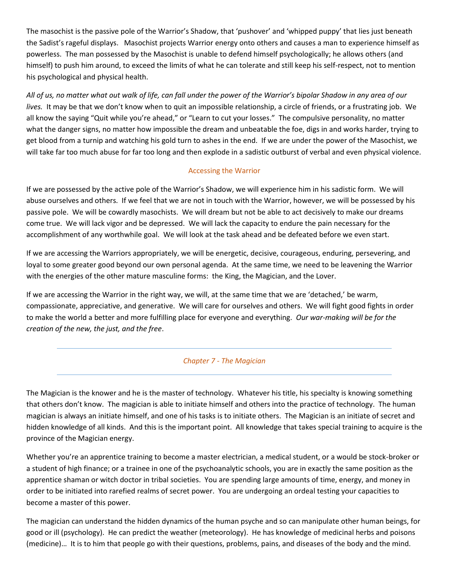The masochist is the passive pole of the Warrior's Shadow, that 'pushover' and 'whipped puppy' that lies just beneath the Sadist's rageful displays. Masochist projects Warrior energy onto others and causes a man to experience himself as powerless. The man possessed by the Masochist is unable to defend himself psychologically; he allows others (and himself) to push him around, to exceed the limits of what he can tolerate and still keep his self-respect, not to mention his psychological and physical health.

*All of us, no matter what out walk of life, can fall under the power of the Warrior's bipolar Shadow in any area of our lives.* It may be that we don't know when to quit an impossible relationship, a circle of friends, or a frustrating job. We all know the saying "Quit while you're ahead," or "Learn to cut your losses." The compulsive personality, no matter what the danger signs, no matter how impossible the dream and unbeatable the foe, digs in and works harder, trying to get blood from a turnip and watching his gold turn to ashes in the end. If we are under the power of the Masochist, we will take far too much abuse for far too long and then explode in a sadistic outburst of verbal and even physical violence.

#### Accessing the Warrior

If we are possessed by the active pole of the Warrior's Shadow, we will experience him in his sadistic form. We will abuse ourselves and others. If we feel that we are not in touch with the Warrior, however, we will be possessed by his passive pole. We will be cowardly masochists. We will dream but not be able to act decisively to make our dreams come true. We will lack vigor and be depressed. We will lack the capacity to endure the pain necessary for the accomplishment of any worthwhile goal. We will look at the task ahead and be defeated before we even start.

If we are accessing the Warriors appropriately, we will be energetic, decisive, courageous, enduring, persevering, and loyal to some greater good beyond our own personal agenda. At the same time, we need to be leavening the Warrior with the energies of the other mature masculine forms: the King, the Magician, and the Lover.

If we are accessing the Warrior in the right way, we will, at the same time that we are 'detached,' be warm, compassionate, appreciative, and generative. We will care for ourselves and others. We will fight good fights in order to make the world a better and more fulfilling place for everyone and everything. *Our war-making will be for the creation of the new, the just, and the free*.

# *Chapter 7 - The Magician*

The Magician is the knower and he is the master of technology. Whatever his title, his specialty is knowing something that others don't know. The magician is able to initiate himself and others into the practice of technology. The human magician is always an initiate himself, and one of his tasks is to initiate others. The Magician is an initiate of secret and hidden knowledge of all kinds. And this is the important point. All knowledge that takes special training to acquire is the province of the Magician energy.

Whether you're an apprentice training to become a master electrician, a medical student, or a would be stock-broker or a student of high finance; or a trainee in one of the psychoanalytic schools, you are in exactly the same position as the apprentice shaman or witch doctor in tribal societies. You are spending large amounts of time, energy, and money in order to be initiated into rarefied realms of secret power. You are undergoing an ordeal testing your capacities to become a master of this power.

The magician can understand the hidden dynamics of the human psyche and so can manipulate other human beings, for good or ill (psychology). He can predict the weather (meteorology). He has knowledge of medicinal herbs and poisons (medicine)… It is to him that people go with their questions, problems, pains, and diseases of the body and the mind.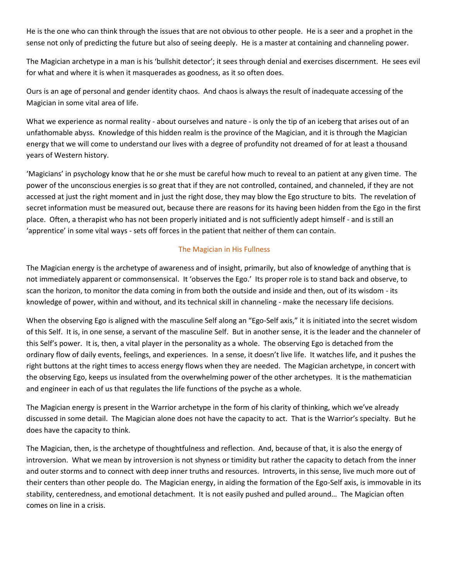He is the one who can think through the issues that are not obvious to other people. He is a seer and a prophet in the sense not only of predicting the future but also of seeing deeply. He is a master at containing and channeling power.

The Magician archetype in a man is his 'bullshit detector'; it sees through denial and exercises discernment. He sees evil for what and where it is when it masquerades as goodness, as it so often does.

Ours is an age of personal and gender identity chaos. And chaos is always the result of inadequate accessing of the Magician in some vital area of life.

What we experience as normal reality - about ourselves and nature - is only the tip of an iceberg that arises out of an unfathomable abyss. Knowledge of this hidden realm is the province of the Magician, and it is through the Magician energy that we will come to understand our lives with a degree of profundity not dreamed of for at least a thousand years of Western history.

'Magicians' in psychology know that he or she must be careful how much to reveal to an patient at any given time. The power of the unconscious energies is so great that if they are not controlled, contained, and channeled, if they are not accessed at just the right moment and in just the right dose, they may blow the Ego structure to bits. The revelation of secret information must be measured out, because there are reasons for its having been hidden from the Ego in the first place. Often, a therapist who has not been properly initiated and is not sufficiently adept himself - and is still an 'apprentice' in some vital ways - sets off forces in the patient that neither of them can contain.

# The Magician in His Fullness

The Magician energy is the archetype of awareness and of insight, primarily, but also of knowledge of anything that is not immediately apparent or commonsensical. It 'observes the Ego.' Its proper role is to stand back and observe, to scan the horizon, to monitor the data coming in from both the outside and inside and then, out of its wisdom - its knowledge of power, within and without, and its technical skill in channeling - make the necessary life decisions.

When the observing Ego is aligned with the masculine Self along an "Ego-Self axis," it is initiated into the secret wisdom of this Self. It is, in one sense, a servant of the masculine Self. But in another sense, it is the leader and the channeler of this Self's power. It is, then, a vital player in the personality as a whole. The observing Ego is detached from the ordinary flow of daily events, feelings, and experiences. In a sense, it doesn't live life. It watches life, and it pushes the right buttons at the right times to access energy flows when they are needed. The Magician archetype, in concert with the observing Ego, keeps us insulated from the overwhelming power of the other archetypes. It is the mathematician and engineer in each of us that regulates the life functions of the psyche as a whole.

The Magician energy is present in the Warrior archetype in the form of his clarity of thinking, which we've already discussed in some detail. The Magician alone does not have the capacity to act. That is the Warrior's specialty. But he does have the capacity to think.

The Magician, then, is the archetype of thoughtfulness and reflection. And, because of that, it is also the energy of introversion. What we mean by introversion is not shyness or timidity but rather the capacity to detach from the inner and outer storms and to connect with deep inner truths and resources. Introverts, in this sense, live much more out of their centers than other people do. The Magician energy, in aiding the formation of the Ego-Self axis, is immovable in its stability, centeredness, and emotional detachment. It is not easily pushed and pulled around… The Magician often comes on line in a crisis.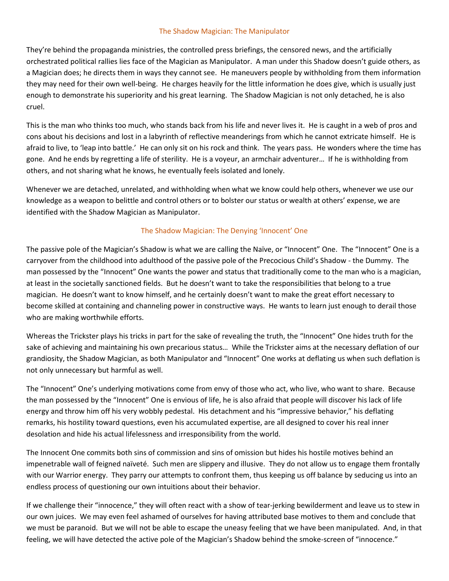#### The Shadow Magician: The Manipulator

They're behind the propaganda ministries, the controlled press briefings, the censored news, and the artificially orchestrated political rallies lies face of the Magician as Manipulator. A man under this Shadow doesn't guide others, as a Magician does; he directs them in ways they cannot see. He maneuvers people by withholding from them information they may need for their own well-being. He charges heavily for the little information he does give, which is usually just enough to demonstrate his superiority and his great learning. The Shadow Magician is not only detached, he is also cruel.

This is the man who thinks too much, who stands back from his life and never lives it. He is caught in a web of pros and cons about his decisions and lost in a labyrinth of reflective meanderings from which he cannot extricate himself. He is afraid to live, to 'leap into battle.' He can only sit on his rock and think. The years pass. He wonders where the time has gone. And he ends by regretting a life of sterility. He is a voyeur, an armchair adventurer… If he is withholding from others, and not sharing what he knows, he eventually feels isolated and lonely.

Whenever we are detached, unrelated, and withholding when what we know could help others, whenever we use our knowledge as a weapon to belittle and control others or to bolster our status or wealth at others' expense, we are identified with the Shadow Magician as Manipulator.

#### The Shadow Magician: The Denying 'Innocent' One

The passive pole of the Magician's Shadow is what we are calling the Naïve, or "Innocent" One. The "Innocent" One is a carryover from the childhood into adulthood of the passive pole of the Precocious Child's Shadow - the Dummy. The man possessed by the "Innocent" One wants the power and status that traditionally come to the man who is a magician, at least in the societally sanctioned fields. But he doesn't want to take the responsibilities that belong to a true magician. He doesn't want to know himself, and he certainly doesn't want to make the great effort necessary to become skilled at containing and channeling power in constructive ways. He wants to learn just enough to derail those who are making worthwhile efforts.

Whereas the Trickster plays his tricks in part for the sake of revealing the truth, the "Innocent" One hides truth for the sake of achieving and maintaining his own precarious status… While the Trickster aims at the necessary deflation of our grandiosity, the Shadow Magician, as both Manipulator and "Innocent" One works at deflating us when such deflation is not only unnecessary but harmful as well.

The "Innocent" One's underlying motivations come from envy of those who act, who live, who want to share. Because the man possessed by the "Innocent" One is envious of life, he is also afraid that people will discover his lack of life energy and throw him off his very wobbly pedestal. His detachment and his "impressive behavior," his deflating remarks, his hostility toward questions, even his accumulated expertise, are all designed to cover his real inner desolation and hide his actual lifelessness and irresponsibility from the world.

The Innocent One commits both sins of commission and sins of omission but hides his hostile motives behind an impenetrable wall of feigned naïveté. Such men are slippery and illusive. They do not allow us to engage them frontally with our Warrior energy. They parry our attempts to confront them, thus keeping us off balance by seducing us into an endless process of questioning our own intuitions about their behavior.

If we challenge their "innocence," they will often react with a show of tear-jerking bewilderment and leave us to stew in our own juices. We may even feel ashamed of ourselves for having attributed base motives to them and conclude that we must be paranoid. But we will not be able to escape the uneasy feeling that we have been manipulated. And, in that feeling, we will have detected the active pole of the Magician's Shadow behind the smoke-screen of "innocence."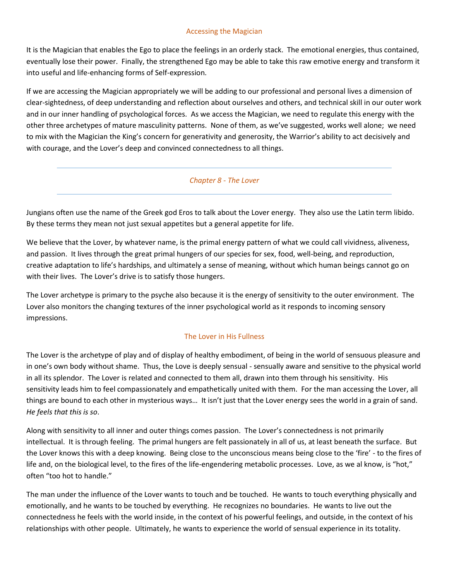#### Accessing the Magician

It is the Magician that enables the Ego to place the feelings in an orderly stack. The emotional energies, thus contained, eventually lose their power. Finally, the strengthened Ego may be able to take this raw emotive energy and transform it into useful and life-enhancing forms of Self-expression.

If we are accessing the Magician appropriately we will be adding to our professional and personal lives a dimension of clear-sightedness, of deep understanding and reflection about ourselves and others, and technical skill in our outer work and in our inner handling of psychological forces. As we access the Magician, we need to regulate this energy with the other three archetypes of mature masculinity patterns. None of them, as we've suggested, works well alone; we need to mix with the Magician the King's concern for generativity and generosity, the Warrior's ability to act decisively and with courage, and the Lover's deep and convinced connectedness to all things.

# *Chapter 8 - The Lover*

Jungians often use the name of the Greek god Eros to talk about the Lover energy. They also use the Latin term libido. By these terms they mean not just sexual appetites but a general appetite for life.

We believe that the Lover, by whatever name, is the primal energy pattern of what we could call vividness, aliveness, and passion. It lives through the great primal hungers of our species for sex, food, well-being, and reproduction, creative adaptation to life's hardships, and ultimately a sense of meaning, without which human beings cannot go on with their lives. The Lover's drive is to satisfy those hungers.

The Lover archetype is primary to the psyche also because it is the energy of sensitivity to the outer environment. The Lover also monitors the changing textures of the inner psychological world as it responds to incoming sensory impressions.

# The Lover in His Fullness

The Lover is the archetype of play and of display of healthy embodiment, of being in the world of sensuous pleasure and in one's own body without shame. Thus, the Love is deeply sensual - sensually aware and sensitive to the physical world in all its splendor. The Lover is related and connected to them all, drawn into them through his sensitivity. His sensitivity leads him to feel compassionately and empathetically united with them. For the man accessing the Lover, all things are bound to each other in mysterious ways… It isn't just that the Lover energy sees the world in a grain of sand. *He feels that this is so*.

Along with sensitivity to all inner and outer things comes passion. The Lover's connectedness is not primarily intellectual. It is through feeling. The primal hungers are felt passionately in all of us, at least beneath the surface. But the Lover knows this with a deep knowing. Being close to the unconscious means being close to the 'fire' - to the fires of life and, on the biological level, to the fires of the life-engendering metabolic processes. Love, as we al know, is "hot," often "too hot to handle."

The man under the influence of the Lover wants to touch and be touched. He wants to touch everything physically and emotionally, and he wants to be touched by everything. He recognizes no boundaries. He wants to live out the connectedness he feels with the world inside, in the context of his powerful feelings, and outside, in the context of his relationships with other people. Ultimately, he wants to experience the world of sensual experience in its totality.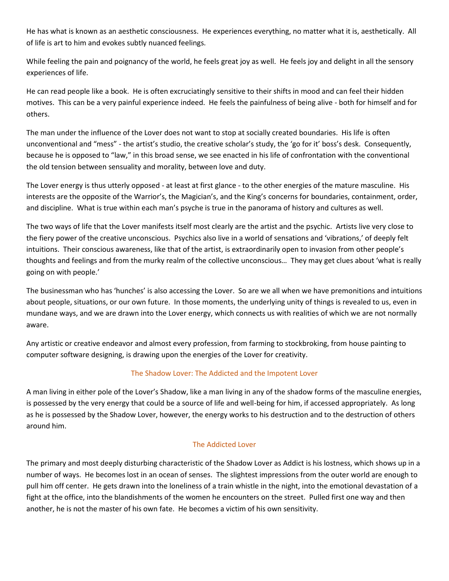He has what is known as an aesthetic consciousness. He experiences everything, no matter what it is, aesthetically. All of life is art to him and evokes subtly nuanced feelings.

While feeling the pain and poignancy of the world, he feels great joy as well. He feels joy and delight in all the sensory experiences of life.

He can read people like a book. He is often excruciatingly sensitive to their shifts in mood and can feel their hidden motives. This can be a very painful experience indeed. He feels the painfulness of being alive - both for himself and for others.

The man under the influence of the Lover does not want to stop at socially created boundaries. His life is often unconventional and "mess" - the artist's studio, the creative scholar's study, the 'go for it' boss's desk. Consequently, because he is opposed to "law," in this broad sense, we see enacted in his life of confrontation with the conventional the old tension between sensuality and morality, between love and duty.

The Lover energy is thus utterly opposed - at least at first glance - to the other energies of the mature masculine. His interests are the opposite of the Warrior's, the Magician's, and the King's concerns for boundaries, containment, order, and discipline. What is true within each man's psyche is true in the panorama of history and cultures as well.

The two ways of life that the Lover manifests itself most clearly are the artist and the psychic. Artists live very close to the fiery power of the creative unconscious. Psychics also live in a world of sensations and 'vibrations,' of deeply felt intuitions. Their conscious awareness, like that of the artist, is extraordinarily open to invasion from other people's thoughts and feelings and from the murky realm of the collective unconscious… They may get clues about 'what is really going on with people.'

The businessman who has 'hunches' is also accessing the Lover. So are we all when we have premonitions and intuitions about people, situations, or our own future. In those moments, the underlying unity of things is revealed to us, even in mundane ways, and we are drawn into the Lover energy, which connects us with realities of which we are not normally aware.

Any artistic or creative endeavor and almost every profession, from farming to stockbroking, from house painting to computer software designing, is drawing upon the energies of the Lover for creativity.

# The Shadow Lover: The Addicted and the Impotent Lover

A man living in either pole of the Lover's Shadow, like a man living in any of the shadow forms of the masculine energies, is possessed by the very energy that could be a source of life and well-being for him, if accessed appropriately. As long as he is possessed by the Shadow Lover, however, the energy works to his destruction and to the destruction of others around him.

# The Addicted Lover

The primary and most deeply disturbing characteristic of the Shadow Lover as Addict is his lostness, which shows up in a number of ways. He becomes lost in an ocean of senses. The slightest impressions from the outer world are enough to pull him off center. He gets drawn into the loneliness of a train whistle in the night, into the emotional devastation of a fight at the office, into the blandishments of the women he encounters on the street. Pulled first one way and then another, he is not the master of his own fate. He becomes a victim of his own sensitivity.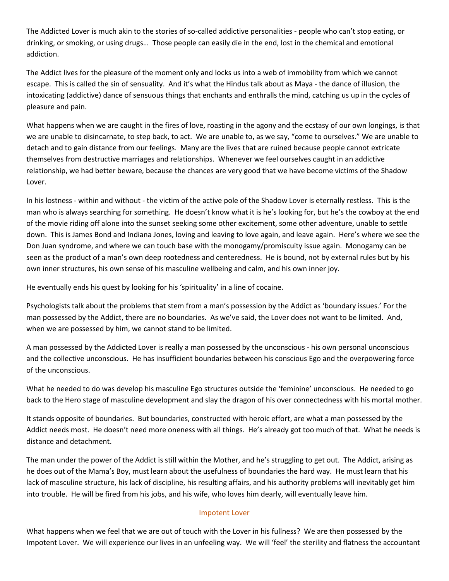The Addicted Lover is much akin to the stories of so-called addictive personalities - people who can't stop eating, or drinking, or smoking, or using drugs… Those people can easily die in the end, lost in the chemical and emotional addiction.

The Addict lives for the pleasure of the moment only and locks us into a web of immobility from which we cannot escape. This is called the sin of sensuality. And it's what the Hindus talk about as Maya - the dance of illusion, the intoxicating (addictive) dance of sensuous things that enchants and enthralls the mind, catching us up in the cycles of pleasure and pain.

What happens when we are caught in the fires of love, roasting in the agony and the ecstasy of our own longings, is that we are unable to disincarnate, to step back, to act. We are unable to, as we say, "come to ourselves." We are unable to detach and to gain distance from our feelings. Many are the lives that are ruined because people cannot extricate themselves from destructive marriages and relationships. Whenever we feel ourselves caught in an addictive relationship, we had better beware, because the chances are very good that we have become victims of the Shadow Lover.

In his lostness - within and without - the victim of the active pole of the Shadow Lover is eternally restless. This is the man who is always searching for something. He doesn't know what it is he's looking for, but he's the cowboy at the end of the movie riding off alone into the sunset seeking some other excitement, some other adventure, unable to settle down. This is James Bond and Indiana Jones, loving and leaving to love again, and leave again. Here's where we see the Don Juan syndrome, and where we can touch base with the monogamy/promiscuity issue again. Monogamy can be seen as the product of a man's own deep rootedness and centeredness. He is bound, not by external rules but by his own inner structures, his own sense of his masculine wellbeing and calm, and his own inner joy.

He eventually ends his quest by looking for his 'spirituality' in a line of cocaine.

Psychologists talk about the problems that stem from a man's possession by the Addict as 'boundary issues.' For the man possessed by the Addict, there are no boundaries. As we've said, the Lover does not want to be limited. And, when we are possessed by him, we cannot stand to be limited.

A man possessed by the Addicted Lover is really a man possessed by the unconscious - his own personal unconscious and the collective unconscious. He has insufficient boundaries between his conscious Ego and the overpowering force of the unconscious.

What he needed to do was develop his masculine Ego structures outside the 'feminine' unconscious. He needed to go back to the Hero stage of masculine development and slay the dragon of his over connectedness with his mortal mother.

It stands opposite of boundaries. But boundaries, constructed with heroic effort, are what a man possessed by the Addict needs most. He doesn't need more oneness with all things. He's already got too much of that. What he needs is distance and detachment.

The man under the power of the Addict is still within the Mother, and he's struggling to get out. The Addict, arising as he does out of the Mama's Boy, must learn about the usefulness of boundaries the hard way. He must learn that his lack of masculine structure, his lack of discipline, his resulting affairs, and his authority problems will inevitably get him into trouble. He will be fired from his jobs, and his wife, who loves him dearly, will eventually leave him.

#### Impotent Lover

What happens when we feel that we are out of touch with the Lover in his fullness? We are then possessed by the Impotent Lover. We will experience our lives in an unfeeling way. We will 'feel' the sterility and flatness the accountant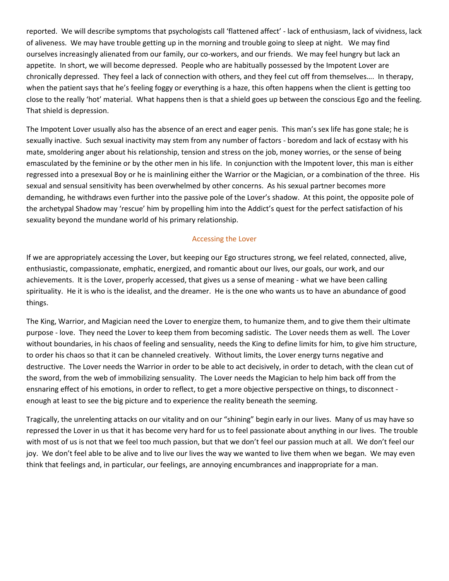reported. We will describe symptoms that psychologists call 'flattened affect' - lack of enthusiasm, lack of vividness, lack of aliveness. We may have trouble getting up in the morning and trouble going to sleep at night. We may find ourselves increasingly alienated from our family, our co-workers, and our friends. We may feel hungry but lack an appetite. In short, we will become depressed. People who are habitually possessed by the Impotent Lover are chronically depressed. They feel a lack of connection with others, and they feel cut off from themselves…. In therapy, when the patient says that he's feeling foggy or everything is a haze, this often happens when the client is getting too close to the really 'hot' material. What happens then is that a shield goes up between the conscious Ego and the feeling. That shield is depression.

The Impotent Lover usually also has the absence of an erect and eager penis. This man's sex life has gone stale; he is sexually inactive. Such sexual inactivity may stem from any number of factors - boredom and lack of ecstasy with his mate, smoldering anger about his relationship, tension and stress on the job, money worries, or the sense of being emasculated by the feminine or by the other men in his life. In conjunction with the Impotent lover, this man is either regressed into a presexual Boy or he is mainlining either the Warrior or the Magician, or a combination of the three. His sexual and sensual sensitivity has been overwhelmed by other concerns. As his sexual partner becomes more demanding, he withdraws even further into the passive pole of the Lover's shadow. At this point, the opposite pole of the archetypal Shadow may 'rescue' him by propelling him into the Addict's quest for the perfect satisfaction of his sexuality beyond the mundane world of his primary relationship.

#### Accessing the Lover

If we are appropriately accessing the Lover, but keeping our Ego structures strong, we feel related, connected, alive, enthusiastic, compassionate, emphatic, energized, and romantic about our lives, our goals, our work, and our achievements. It is the Lover, properly accessed, that gives us a sense of meaning - what we have been calling spirituality. He it is who is the idealist, and the dreamer. He is the one who wants us to have an abundance of good things.

The King, Warrior, and Magician need the Lover to energize them, to humanize them, and to give them their ultimate purpose - love. They need the Lover to keep them from becoming sadistic. The Lover needs them as well. The Lover without boundaries, in his chaos of feeling and sensuality, needs the King to define limits for him, to give him structure, to order his chaos so that it can be channeled creatively. Without limits, the Lover energy turns negative and destructive. The Lover needs the Warrior in order to be able to act decisively, in order to detach, with the clean cut of the sword, from the web of immobilizing sensuality. The Lover needs the Magician to help him back off from the ensnaring effect of his emotions, in order to reflect, to get a more objective perspective on things, to disconnect enough at least to see the big picture and to experience the reality beneath the seeming.

Tragically, the unrelenting attacks on our vitality and on our "shining" begin early in our lives. Many of us may have so repressed the Lover in us that it has become very hard for us to feel passionate about anything in our lives. The trouble with most of us is not that we feel too much passion, but that we don't feel our passion much at all. We don't feel our joy. We don't feel able to be alive and to live our lives the way we wanted to live them when we began. We may even think that feelings and, in particular, our feelings, are annoying encumbrances and inappropriate for a man.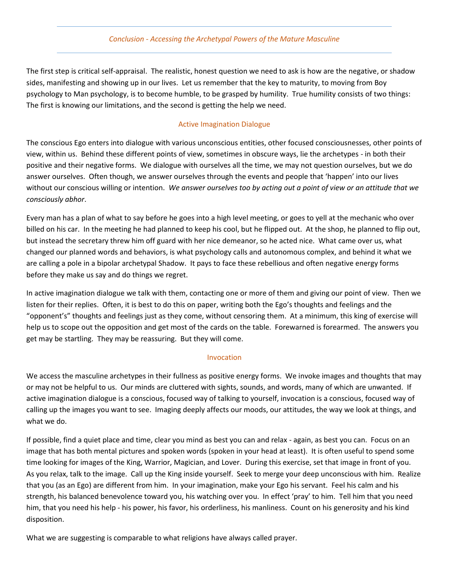#### *Conclusion - Accessing the Archetypal Powers of the Mature Masculine*

The first step is critical self-appraisal. The realistic, honest question we need to ask is how are the negative, or shadow sides, manifesting and showing up in our lives. Let us remember that the key to maturity, to moving from Boy psychology to Man psychology, is to become humble, to be grasped by humility. True humility consists of two things: The first is knowing our limitations, and the second is getting the help we need.

#### Active Imagination Dialogue

The conscious Ego enters into dialogue with various unconscious entities, other focused consciousnesses, other points of view, within us. Behind these different points of view, sometimes in obscure ways, lie the archetypes - in both their positive and their negative forms. We dialogue with ourselves all the time, we may not question ourselves, but we do answer ourselves. Often though, we answer ourselves through the events and people that 'happen' into our lives without our conscious willing or intention. *We answer ourselves too by acting out a point of view or an attitude that we consciously abhor*.

Every man has a plan of what to say before he goes into a high level meeting, or goes to yell at the mechanic who over billed on his car. In the meeting he had planned to keep his cool, but he flipped out. At the shop, he planned to flip out, but instead the secretary threw him off guard with her nice demeanor, so he acted nice. What came over us, what changed our planned words and behaviors, is what psychology calls and autonomous complex, and behind it what we are calling a pole in a bipolar archetypal Shadow. It pays to face these rebellious and often negative energy forms before they make us say and do things we regret.

In active imagination dialogue we talk with them, contacting one or more of them and giving our point of view. Then we listen for their replies. Often, it is best to do this on paper, writing both the Ego's thoughts and feelings and the "opponent's" thoughts and feelings just as they come, without censoring them. At a minimum, this king of exercise will help us to scope out the opposition and get most of the cards on the table. Forewarned is forearmed. The answers you get may be startling. They may be reassuring. But they will come.

#### Invocation

We access the masculine archetypes in their fullness as positive energy forms. We invoke images and thoughts that may or may not be helpful to us. Our minds are cluttered with sights, sounds, and words, many of which are unwanted. If active imagination dialogue is a conscious, focused way of talking to yourself, invocation is a conscious, focused way of calling up the images you want to see. Imaging deeply affects our moods, our attitudes, the way we look at things, and what we do.

If possible, find a quiet place and time, clear you mind as best you can and relax - again, as best you can. Focus on an image that has both mental pictures and spoken words (spoken in your head at least). It is often useful to spend some time looking for images of the King, Warrior, Magician, and Lover. During this exercise, set that image in front of you. As you relax, talk to the image. Call up the King inside yourself. Seek to merge your deep unconscious with him. Realize that you (as an Ego) are different from him. In your imagination, make your Ego his servant. Feel his calm and his strength, his balanced benevolence toward you, his watching over you. In effect 'pray' to him. Tell him that you need him, that you need his help - his power, his favor, his orderliness, his manliness. Count on his generosity and his kind disposition.

What we are suggesting is comparable to what religions have always called prayer.